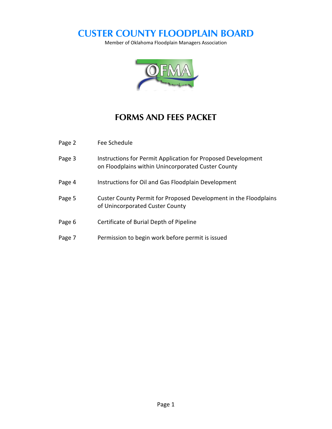# **CUSTER COUNTY FLOODPLAIN BOARD**

Member of Oklahoma Floodplain Managers Association



## **FORMS AND FEES PACKET**

| Page 2 | Fee Schedule                                                                                                       |
|--------|--------------------------------------------------------------------------------------------------------------------|
| Page 3 | Instructions for Permit Application for Proposed Development<br>on Floodplains within Unincorporated Custer County |
| Page 4 | Instructions for Oil and Gas Floodplain Development                                                                |
| Page 5 | Custer County Permit for Proposed Development in the Floodplains<br>of Unincorporated Custer County                |
| Page 6 | Certificate of Burial Depth of Pipeline                                                                            |
| Page 7 | Permission to begin work before permit is issued                                                                   |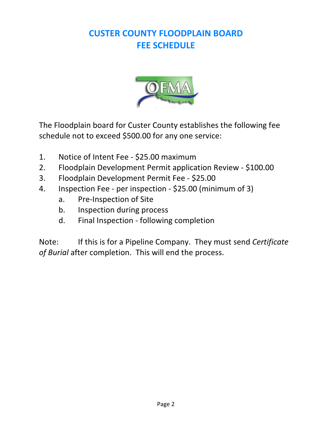# **CUSTER COUNTY FLOODPLAIN BOARD FEE SCHEDULE**



The Floodplain board for Custer County establishes the following fee schedule not to exceed \$500.00 for any one service:

- 1. Notice of Intent Fee \$25.00 maximum
- 2. Floodplain Development Permit application Review \$100.00
- 3. Floodplain Development Permit Fee \$25.00
- 4. Inspection Fee per inspection \$25.00 (minimum of 3)
	- a. Pre-Inspection of Site
	- b. Inspection during process
	- d. Final Inspection following completion

Note: If this is for a Pipeline Company. They must send *Certificate of Burial* after completion. This will end the process.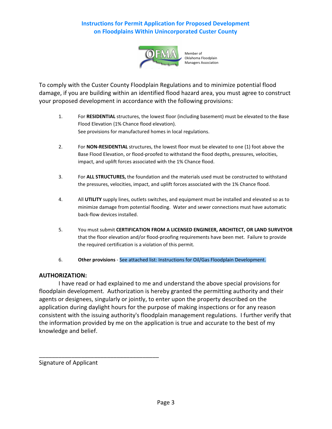### **Instructions for Permit Application for Proposed Development on Floodplains Within Unincorporated Custer County**



 Member of Oklahoma Floodplain Managers Association

To comply with the Custer County Floodplain Regulations and to minimize potential flood damage, if you are building within an identified flood hazard area, you must agree to construct your proposed development in accordance with the following provisions:

- 1. For **RESIDENTIAL** structures, the lowest floor (including basement) must be elevated to the Base Flood Elevation {1% Chance flood elevation). See provisions for manufactured homes in local regulations.
- 2. For **NON-RESIDENTIAL** structures, the lowest floor must be elevated to one {1) foot above the Base Flood Elevation, or flood-proofed to withstand the flood depths, pressures, velocities, impact, and uplift forces associated with the 1% Chance flood.
- 3. For **ALL STRUCTURES,** the foundation and the materials used must be constructed to withstand the pressures, velocities, impact, and uplift forces associated with the 1% Chance flood.
- 4. All **UTILITY** supply lines, outlets switches, and equipment must be installed and elevated so as to minimize damage from potential flooding. Water and sewer connections must have automatic back-flow devices installed.
- 5. You must submit **CERTIFICATION FROM A LICENSED ENGINEER, ARCHITECT, OR LAND SURVEYOR** that the floor elevation and/or flood-proofing requirements have been met. Failure to provide the required certification is a violation of this permit.
- 6. **Other provisions**  See attached list: Instructions for Oil/Gas Floodplain Development.

### **AUTHORIZATION:**

I have read or had explained to me and understand the above special provisions for floodplain development. Authorization is hereby granted the permitting authority and their agents or designees, singularly or jointly, to enter upon the property described on the application during daylight hours for the purpose of making inspections or for any reason consistent with the issuing authority's floodplain management regulations. I further verify that the information provided by me on the application is true and accurate to the best of my knowledge and belief.

Signature of Applicant

\_\_\_\_\_\_\_\_\_\_\_\_\_\_\_\_\_\_\_\_\_\_\_\_\_\_\_\_\_\_\_\_\_\_\_\_\_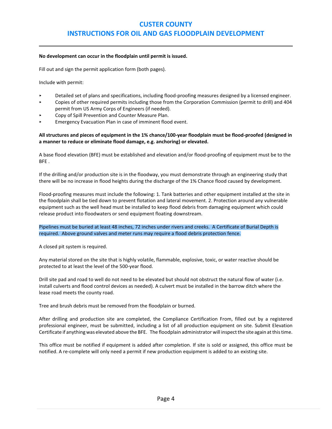### **CUSTER COUNTY INSTRUCTIONS FOR OIL AND GAS FLOODPLAIN DEVELOPMENT**

#### **No development can occur in the floodplain until permit is issued.**

Fill out and sign the permit application form (both pages).

Include with permit:

- < Detailed set of plans and specifications, including flood-proofing measures designed by a licensed engineer.
- < Copies of other required permits including those from the Corporation Commission (permit to drill) and 404 permit from US Army Corps of Engineers (if needed).
- Copy of Spill Prevention and Counter Measure Plan.
- < Emergency Evacuation Plan in case of imminent flood event.

#### **All structures and pieces of equipment in the 1% chance/100-year floodplain must be flood-proofed (designed in a manner to reduce or eliminate flood damage, e.g. anchoring) or elevated.**

A base flood elevation (BFE) must be established and elevation and/or flood-proofing of equipment must be to the BFE .

If the drilling and/or production site is in the floodway, you must demonstrate through an engineering study that there will be no increase in flood heights during the discharge of the 1% Chance flood caused by development.

Flood-proofing measures must include the following: 1. Tank batteries and other equipment installed at the site in the floodplain shall be tied down to prevent flotation and lateral movement. 2. Protection around any vulnerable equipment such as the well head must be installed to keep flood debris from damaging equipment which could release product into floodwaters or send equipment floating downstream.

#### Pipelines must be buried at least 48 inches, 72 inches under rivers and creeks. A Certificate of Burial Depth is required. Above ground valves and meter runs may require a flood debris protection fence.

A closed pit system is required.

Any material stored on the site that is highly volatile, flammable, explosive, toxic, or water reactive should be protected to at least the level of the 500-year flood.

Drill site pad and road to well do not need to be elevated but should not obstruct the natural flow of water (i.e. install culverts and flood control devices as needed). A culvert must be installed in the barrow ditch where the lease road meets the county road.

Tree and brush debris must be removed from the floodplain or burned.

After drilling and production site are completed, the Compliance Certification From, filled out by a registered professional engineer, must be submitted, including a list of all production equipment on site. Submit Elevation Certificate if anything was elevated above the BFE. The floodplain administrator will inspect the site again at thistime.

This office must be notified if equipment is added after completion. If site is sold or assigned, this office must be notified. A re-complete will only need a permit if new production equipment is added to an existing site.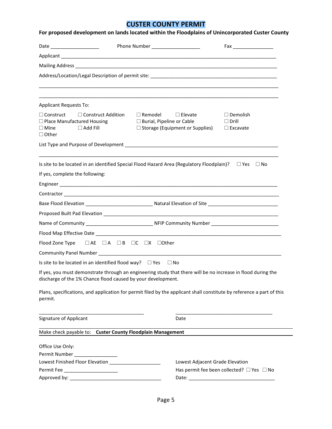### **CUSTER COUNTY PERMIT**

| Date ______________________                                                                                                                                                  | Phone Number _____________________                                                                                | Fax __________________                             |
|------------------------------------------------------------------------------------------------------------------------------------------------------------------------------|-------------------------------------------------------------------------------------------------------------------|----------------------------------------------------|
|                                                                                                                                                                              |                                                                                                                   |                                                    |
|                                                                                                                                                                              |                                                                                                                   |                                                    |
|                                                                                                                                                                              |                                                                                                                   |                                                    |
| <b>Applicant Requests To:</b>                                                                                                                                                |                                                                                                                   |                                                    |
| $\Box$ Construct<br>$\Box$ Construct Addition<br>$\Box$ Place Manufactured Housing<br>$\Box$ Add Fill<br>$\square$ Mine<br>$\Box$ Other                                      | $\Box$ Remodel<br>$\Box$ Elevate<br>$\square$ Burial, Pipeline or Cable<br>$\Box$ Storage (Equipment or Supplies) | $\Box$ Demolish<br>$\Box$ Drill<br>$\Box$ Excavate |
|                                                                                                                                                                              |                                                                                                                   |                                                    |
| Is site to be located in an identified Special Flood Hazard Area (Regulatory Floodplain)? $\square$ Yes $\square$ No                                                         |                                                                                                                   |                                                    |
| If yes, complete the following:                                                                                                                                              |                                                                                                                   |                                                    |
|                                                                                                                                                                              |                                                                                                                   |                                                    |
|                                                                                                                                                                              |                                                                                                                   |                                                    |
|                                                                                                                                                                              |                                                                                                                   |                                                    |
|                                                                                                                                                                              |                                                                                                                   |                                                    |
|                                                                                                                                                                              |                                                                                                                   |                                                    |
|                                                                                                                                                                              |                                                                                                                   |                                                    |
| Flood Zone Type  □ AE □ A □ B □ C □ X □ Other                                                                                                                                |                                                                                                                   |                                                    |
|                                                                                                                                                                              |                                                                                                                   |                                                    |
| Is site to be located in an identified flood way? $\square$ Yes $\square$ No                                                                                                 |                                                                                                                   |                                                    |
| If yes, you must demonstrate through an engineering study that there will be no increase in flood during the<br>discharge of the 1% Chance flood caused by your development. |                                                                                                                   |                                                    |
| Plans, specifications, and application for permit filed by the applicant shall constitute by reference a part of this<br>permit.                                             |                                                                                                                   |                                                    |
| Signature of Applicant                                                                                                                                                       | Date                                                                                                              |                                                    |
| Make check payable to: Custer County Floodplain Management                                                                                                                   |                                                                                                                   |                                                    |
| Office Use Only:                                                                                                                                                             |                                                                                                                   |                                                    |
| Permit Number __________________                                                                                                                                             |                                                                                                                   |                                                    |
| Permit Fee _________________________                                                                                                                                         | Lowest Adjacent Grade Elevation                                                                                   | Has permit fee been collected? □ Yes □ No          |
|                                                                                                                                                                              |                                                                                                                   |                                                    |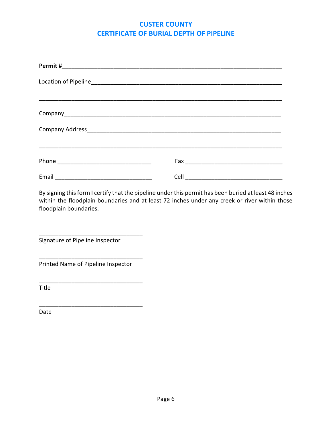### **CUSTER COUNTY CERTIFICATE OF BURIAL DEPTH OF PIPELINE**

| Fax <b>Executive Service Service Service Service</b> |  |
|------------------------------------------------------|--|
|                                                      |  |

By signing this form I certify that the pipeline under this permit has been buried at least 48 inches within the floodplain boundaries and at least 72 inches under any creek or river within those floodplain boundaries.

Signature of Pipeline Inspector

Printed Name of Pipeline Inspector

\_\_\_\_\_\_\_\_\_\_\_\_\_\_\_\_\_\_\_\_\_\_\_\_\_\_\_\_\_\_\_\_

\_\_\_\_\_\_\_\_\_\_\_\_\_\_\_\_\_\_\_\_\_\_\_\_\_\_\_\_\_\_\_\_

\_\_\_\_\_\_\_\_\_\_\_\_\_\_\_\_\_\_\_\_\_\_\_\_\_\_\_\_\_\_\_\_

\_\_\_\_\_\_\_\_\_\_\_\_\_\_\_\_\_\_\_\_\_\_\_\_\_\_\_\_\_\_\_\_

Title

Date